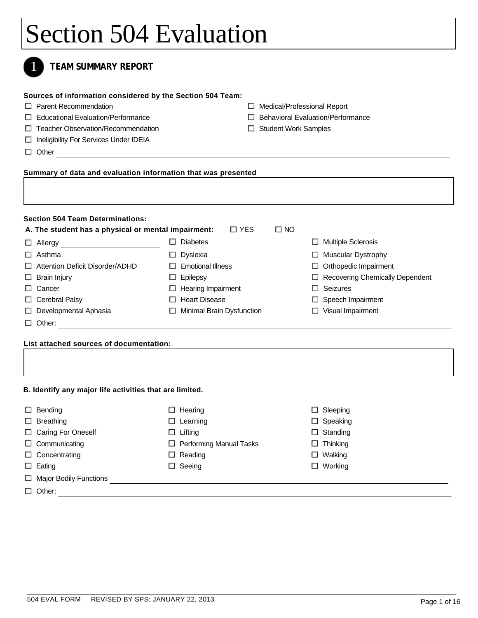| Sources of information considered by the Section 504 Team:    |                                |                                          |  |  |
|---------------------------------------------------------------|--------------------------------|------------------------------------------|--|--|
| $\Box$ Parent Recommendation                                  |                                | $\Box$ Medical/Professional Report       |  |  |
| $\Box$ Educational Evaluation/Performance                     |                                | $\Box$ Behavioral Evaluation/Performance |  |  |
| □ Teacher Observation/Recommendation                          |                                | $\Box$ Student Work Samples              |  |  |
| □ Ineligibility For Services Under IDEIA                      |                                |                                          |  |  |
| □ Other <u>_______________________________</u>                |                                |                                          |  |  |
| Summary of data and evaluation information that was presented |                                |                                          |  |  |
|                                                               |                                |                                          |  |  |
|                                                               |                                |                                          |  |  |
|                                                               |                                |                                          |  |  |
| <b>Section 504 Team Determinations:</b>                       |                                |                                          |  |  |
| A. The student has a physical or mental impairment:           | $\Box$ YES                     | $\square$ NO                             |  |  |
| $\Box$ Allergy                                                | $\Box$ Diabetes                | $\Box$ Multiple Sclerosis                |  |  |
| $\Box$ Asthma                                                 | $\Box$ Dyslexia                | $\Box$ Muscular Dystrophy                |  |  |
| $\Box$ Attention Deficit Disorder/ADHD                        | $\Box$ Emotional Illness       | $\Box$ Orthopedic Impairment             |  |  |
| $\Box$ Brain Injury                                           | $\Box$ Epilepsy                | Recovering Chemically Dependent          |  |  |
| $\Box$ Cancer                                                 | $\Box$ Hearing Impairment      | $\Box$ Seizures                          |  |  |
| $\Box$ Cerebral Palsy                                         | $\Box$ Heart Disease           | $\Box$ Speech Impairment                 |  |  |
| $\Box$ Developmental Aphasia                                  | □ Minimal Brain Dysfunction    | $\Box$ Visual Impairment                 |  |  |
| $\Box$ Other:                                                 |                                |                                          |  |  |
|                                                               |                                |                                          |  |  |
| List attached sources of documentation:                       |                                |                                          |  |  |
|                                                               |                                |                                          |  |  |
|                                                               |                                |                                          |  |  |
|                                                               |                                |                                          |  |  |
| B. Identify any major life activities that are limited.       |                                |                                          |  |  |
| $\Box$ Bending                                                | $\Box$ Hearing                 | $\Box$ Sleeping                          |  |  |
| $\Box$ Breathing                                              | $\Box$ Learning                | $\Box$ Speaking                          |  |  |
| □ Caring For Oneself                                          | $\Box$ Lifting                 | $\Box$ Standing                          |  |  |
|                                                               |                                |                                          |  |  |
| $\Box$ Communicating                                          | $\Box$ Performing Manual Tasks | $\Box$ Thinking                          |  |  |

 $\square$  Eating  $\square$  Seeing  $\square$  Seeing  $\square$  Working

## $\fbox{Major Body Functions} \fbox{$

□ Other: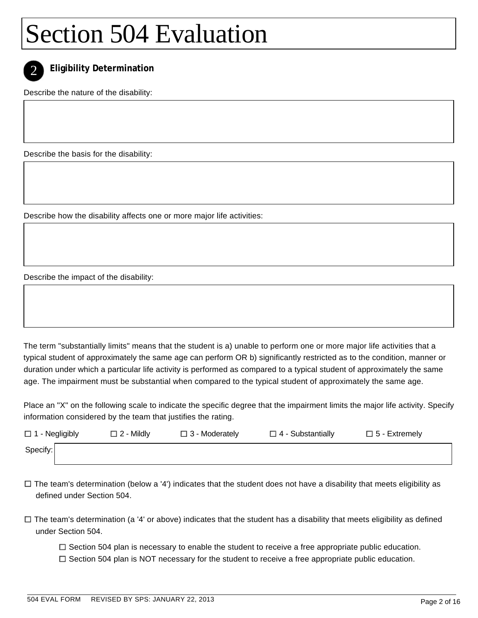

**Eligibility Determination**

Describe the nature of the disability:

Describe the basis for the disability:

Describe how the disability affects one or more major life activities:

Describe the impact of the disability:

The term "substantially limits" means that the student is a) unable to perform one or more major life activities that a typical student of approximately the same age can perform OR b) significantly restricted as to the condition, manner or duration under which a particular life activity is performed as compared to a typical student of approximately the same age. The impairment must be substantial when compared to the typical student of approximately the same age.

Place an "X" on the following scale to indicate the specific degree that the impairment limits the major life activity. Specify information considered by the team that justifies the rating.

| $\Box$ 1 - Negligibly | $\square$ 2 - Mildly | $\Box$ 3 - Moderately | $\Box$ 4 - Substantially | $\square$ 5 - Extremely |
|-----------------------|----------------------|-----------------------|--------------------------|-------------------------|
| Specify:              |                      |                       |                          |                         |

- $\Box$  The team's determination (below a '4') indicates that the student does not have a disability that meets eligibility as defined under Section 504.
- $\Box$  The team's determination (a '4' or above) indicates that the student has a disability that meets eligibility as defined under Section 504.
	- $\Box$  Section 504 plan is necessary to enable the student to receive a free appropriate public education.
	- $\Box$  Section 504 plan is NOT necessary for the student to receive a free appropriate public education.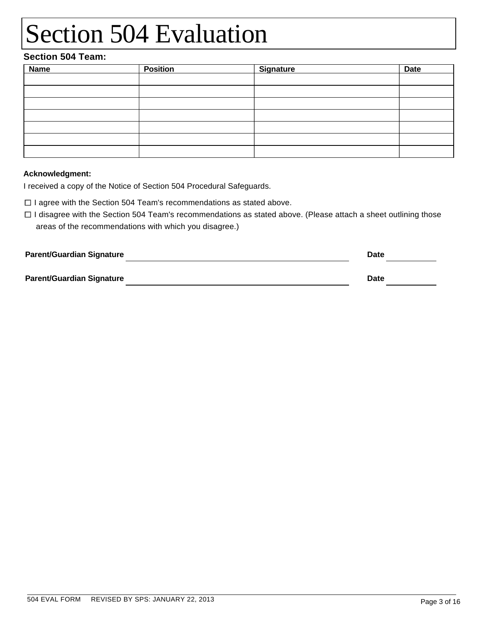### **Section 504 Team:**

| <b>Name</b> | <b>Position</b> | Signature | <b>Date</b> |
|-------------|-----------------|-----------|-------------|
|             |                 |           |             |
|             |                 |           |             |
|             |                 |           |             |
|             |                 |           |             |
|             |                 |           |             |
|             |                 |           |             |
|             |                 |           |             |

### **Acknowledgment:**

I received a copy of the Notice of Section 504 Procedural Safeguards.

 $\Box$  I agree with the Section 504 Team's recommendations as stated above.

 I disagree with the Section 504 Team's recommendations as stated above. (Please attach a sheet outlining those areas of the recommendations with which you disagree.)

| <b>Parent/Guardian Signature</b> | <b>Date</b> |
|----------------------------------|-------------|
| <b>Parent/Guardian Signature</b> | <b>Date</b> |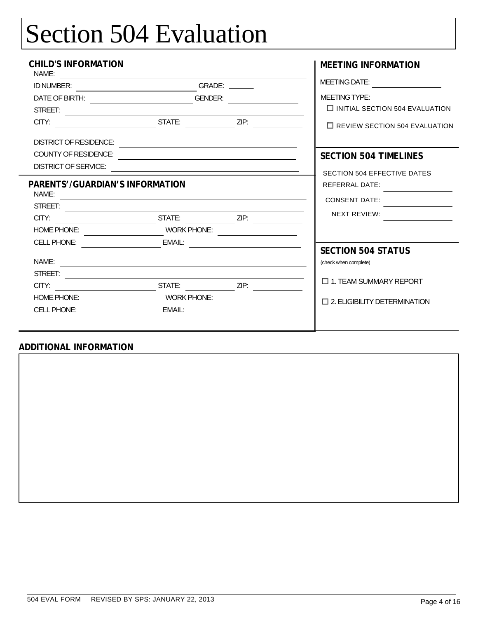| <b>CHILD'S INFORMATION</b><br>NAME:      |                    |                | MEETING INFORMATION                                |
|------------------------------------------|--------------------|----------------|----------------------------------------------------|
| <b>ID NUMBER:</b>                        |                    | GRADE:         | <b>MEETING DATE:</b>                               |
| DATE OF BIRTH:                           |                    | <b>GENDER:</b> | <b>MEETING TYPE:</b>                               |
| STREET:                                  |                    |                | $\Box$ INITIAL SECTION 504 EVALUATION              |
| CITY:                                    | STATE:             | ZIP:           | $\Box$ REVIEW SECTION 504 EVALUATION               |
| <b>DISTRICT OF RESIDENCE:</b>            |                    |                |                                                    |
| <b>COUNTY OF RESIDENCE:</b>              |                    |                | <b>SECTION 504 TIMELINES</b>                       |
| <b>DISTRICT OF SERVICE:</b>              |                    |                | <b>SECTION 504 EFFECTIVE DATES</b>                 |
| PARENTS'/GUARDIAN'S INFORMATION<br>NAME: |                    |                | <b>REFERRAL DATE:</b>                              |
| STREET:                                  |                    |                | <b>CONSENT DATE:</b>                               |
| CITY:                                    | STATE:             | ZIP:           | <b>NEXT REVIEW:</b>                                |
| HOME PHONE:                              | <b>WORK PHONE:</b> |                |                                                    |
| <b>CELL PHONE:</b>                       | EMAIL:             |                |                                                    |
| NAME:                                    |                    |                | <b>SECTION 504 STATUS</b><br>(check when complete) |
| STREET:                                  |                    |                |                                                    |
| CITY:                                    | STATE:             | ZIP:           | $\Box$ 1. TEAM SUMMARY REPORT                      |
| HOME PHONE:                              | <b>WORK PHONE:</b> |                | $\Box$ 2. ELIGIBILITY DETERMINATION                |
| <b>CELL PHONE:</b>                       | EMAIL:             |                |                                                    |
|                                          |                    |                |                                                    |

### **ADDITIONAL INFORMATION**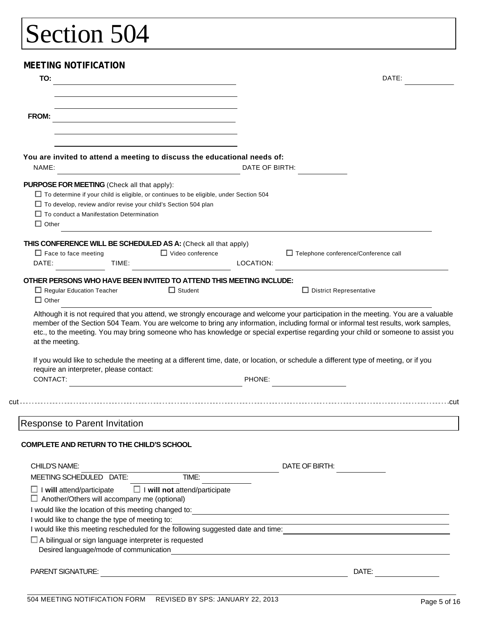# Section 504

| TO:                                                                                                                                                                                                                                                                                 | DATE:                                                                                                                                                                                                                                                                                                                                                                                                                                                                                              |
|-------------------------------------------------------------------------------------------------------------------------------------------------------------------------------------------------------------------------------------------------------------------------------------|----------------------------------------------------------------------------------------------------------------------------------------------------------------------------------------------------------------------------------------------------------------------------------------------------------------------------------------------------------------------------------------------------------------------------------------------------------------------------------------------------|
| FROM:                                                                                                                                                                                                                                                                               |                                                                                                                                                                                                                                                                                                                                                                                                                                                                                                    |
|                                                                                                                                                                                                                                                                                     |                                                                                                                                                                                                                                                                                                                                                                                                                                                                                                    |
| You are invited to attend a meeting to discuss the educational needs of:<br>NAME:                                                                                                                                                                                                   | DATE OF BIRTH:                                                                                                                                                                                                                                                                                                                                                                                                                                                                                     |
| PURPOSE FOR MEETING (Check all that apply):<br>$\Box$ To determine if your child is eligible, or continues to be eligible, under Section 504<br>□ To develop, review and/or revise your child's Section 504 plan<br>$\Box$ To conduct a Manifestation Determination<br>$\Box$ Other |                                                                                                                                                                                                                                                                                                                                                                                                                                                                                                    |
| THIS CONFERENCE WILL BE SCHEDULED AS A: (Check all that apply)<br>$\Box$ Video conference<br>$\Box$ Face to face meeting<br>DATE:<br>TIME:                                                                                                                                          | □ Telephone conference/Conference call<br>LOCATION:                                                                                                                                                                                                                                                                                                                                                                                                                                                |
| OTHER PERSONS WHO HAVE BEEN INVITED TO ATTEND THIS MEETING INCLUDE:<br>Regular Education Teacher<br>$\Box$ Student                                                                                                                                                                  | □ District Representative                                                                                                                                                                                                                                                                                                                                                                                                                                                                          |
| $\Box$ Other                                                                                                                                                                                                                                                                        |                                                                                                                                                                                                                                                                                                                                                                                                                                                                                                    |
| at the meeting.                                                                                                                                                                                                                                                                     | If you would like to schedule the meeting at a different time, date, or location, or schedule a different type of meeting, or if you                                                                                                                                                                                                                                                                                                                                                               |
| require an interpreter, please contact:<br>CONTACT:                                                                                                                                                                                                                                 | PHONE:                                                                                                                                                                                                                                                                                                                                                                                                                                                                                             |
|                                                                                                                                                                                                                                                                                     |                                                                                                                                                                                                                                                                                                                                                                                                                                                                                                    |
| Response to Parent Invitation                                                                                                                                                                                                                                                       |                                                                                                                                                                                                                                                                                                                                                                                                                                                                                                    |
| <b>COMPLETE AND RETURN TO THE CHILD'S SCHOOL</b>                                                                                                                                                                                                                                    |                                                                                                                                                                                                                                                                                                                                                                                                                                                                                                    |
| <b>CHILD'S NAME:</b>                                                                                                                                                                                                                                                                | DATE OF BIRTH:                                                                                                                                                                                                                                                                                                                                                                                                                                                                                     |
| TIME:<br>MEETING SCHEDULED DATE:<br>$\Box$ I will attend/participate $\Box$ I will not attend/participate                                                                                                                                                                           |                                                                                                                                                                                                                                                                                                                                                                                                                                                                                                    |
| $\Box$ Another/Others will accompany me (optional)<br>I would like to change the type of meeting to:                                                                                                                                                                                | I would like the location of this meeting changed to: <b>contain the container and container and container and container</b>                                                                                                                                                                                                                                                                                                                                                                       |
| $\Box$ A bilingual or sign language interpreter is requested                                                                                                                                                                                                                        | Although it is not required that you attend, we strongly encourage and welcome your participation in the meeting. You are a valuable<br>member of the Section 504 Team. You are welcome to bring any information, including formal or informal test results, work samples,<br>etc., to the meeting. You may bring someone who has knowledge or special expertise regarding your child or someone to assist you<br>I would like this meeting rescheduled for the following suggested date and time: |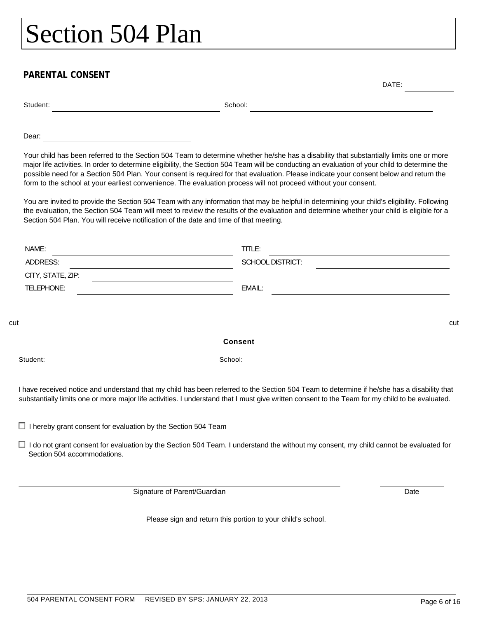### **PARENTAL CONSENT**

DATE:

Student: Student: School: School: School: School: School: School: School: School: School: School: School: School: School: School: School: School: School: School: School: School: School: School: School: School: School: Scho

Dear:

Your child has been referred to the Section 504 Team to determine whether he/she has a disability that substantially limits one or more major life activities. In order to determine eligibility, the Section 504 Team will be conducting an evaluation of your child to determine the possible need for a Section 504 Plan. Your consent is required for that evaluation. Please indicate your consent below and return the form to the school at your earliest convenience. The evaluation process will not proceed without your consent.

You are invited to provide the Section 504 Team with any information that may be helpful in determining your child's eligibility. Following the evaluation, the Section 504 Team will meet to review the results of the evaluation and determine whether your child is eligible for a Section 504 Plan. You will receive notification of the date and time of that meeting.

| NAME:             | TITLE:           |        |
|-------------------|------------------|--------|
| ADDRESS:          | SCHOOL DISTRICT: |        |
| CITY, STATE, ZIP: |                  |        |
| TELEPHONE:        | EMAIL:           |        |
|                   |                  |        |
|                   |                  |        |
| cut -             |                  | - -cut |
|                   | <b>Consent</b>   |        |
| Student:          | School:          |        |
|                   |                  |        |

I have received notice and understand that my child has been referred to the Section 504 Team to determine if he/she has a disability that substantially limits one or more major life activities. I understand that I must give written consent to the Team for my child to be evaluated.

 $\Box$  I hereby grant consent for evaluation by the Section 504 Team

 $\Box$  I do not grant consent for evaluation by the Section 504 Team. I understand the without my consent, my child cannot be evaluated for Section 504 accommodations.

Signature of Parent/Guardian Date Controller and Date Date Date Date Date Date Date

Please sign and return this portion to your child's school.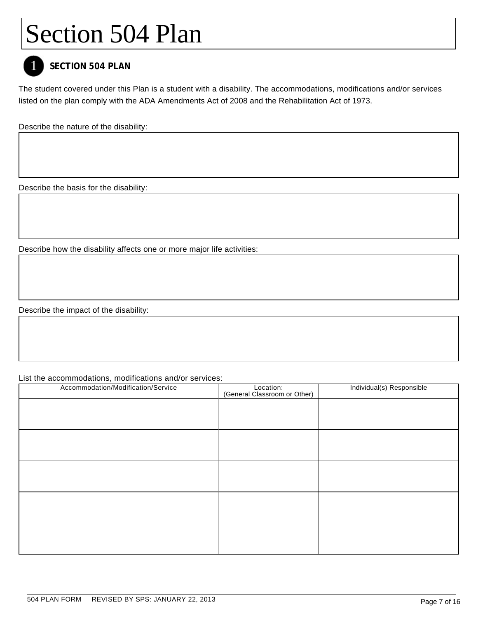

## **SECTION 504 PLAN**

The student covered under this Plan is a student with a disability. The accommodations, modifications and/or services listed on the plan comply with the ADA Amendments Act of 2008 and the Rehabilitation Act of 1973.

Describe the nature of the disability:

Describe the basis for the disability:

Describe how the disability affects one or more major life activities:

Describe the impact of the disability:

### List the accommodations, modifications and/or services:

| Accommodation/Modification/Service | Location:<br>(General Classroom or Other) | Individual(s) Responsible |
|------------------------------------|-------------------------------------------|---------------------------|
|                                    |                                           |                           |
|                                    |                                           |                           |
|                                    |                                           |                           |
|                                    |                                           |                           |
|                                    |                                           |                           |
|                                    |                                           |                           |
|                                    |                                           |                           |
|                                    |                                           |                           |
|                                    |                                           |                           |
|                                    |                                           |                           |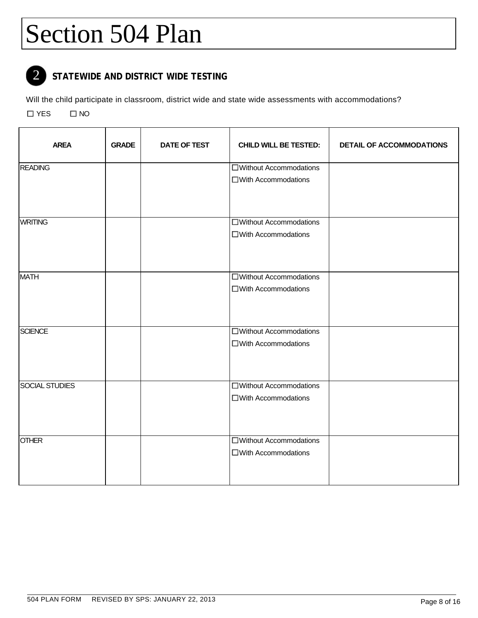

## **STATEWIDE AND DISTRICT WIDE TESTING**

Will the child participate in classroom, district wide and state wide assessments with accommodations?

 $\Box$  YES  $\Box$  NO

| <b>AREA</b>           | <b>GRADE</b> | <b>DATE OF TEST</b> | <b>CHILD WILL BE TESTED:</b>                           | <b>DETAIL OF ACCOMMODATIONS</b> |
|-----------------------|--------------|---------------------|--------------------------------------------------------|---------------------------------|
| <b>READING</b>        |              |                     | □ Without Accommodations<br>$\Box$ With Accommodations |                                 |
| <b>WRITING</b>        |              |                     | □ Without Accommodations<br>$\Box$ With Accommodations |                                 |
| <b>MATH</b>           |              |                     | □ Without Accommodations<br>□ With Accommodations      |                                 |
| <b>SCIENCE</b>        |              |                     | □ Without Accommodations<br>$\Box$ With Accommodations |                                 |
| <b>SOCIAL STUDIES</b> |              |                     | □ Without Accommodations<br>□ With Accommodations      |                                 |
| <b>OTHER</b>          |              |                     | □ Without Accommodations<br>□With Accommodations       |                                 |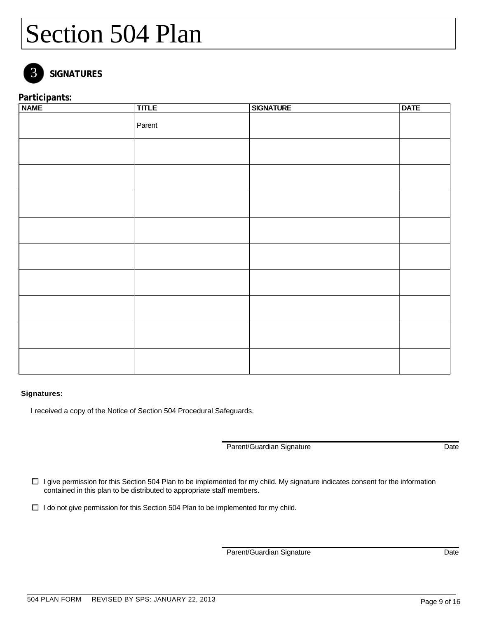## 3

## **SIGNATURES**

### **Participants:**

| <b>NAME</b> | <b>TITLE</b> | <b>SIGNATURE</b> | <b>DATE</b> |
|-------------|--------------|------------------|-------------|
|             | Parent       |                  |             |
|             |              |                  |             |
|             |              |                  |             |
|             |              |                  |             |
|             |              |                  |             |
|             |              |                  |             |
|             |              |                  |             |
|             |              |                  |             |
|             |              |                  |             |
|             |              |                  |             |

### **Signatures:**

I received a copy of the Notice of Section 504 Procedural Safeguards.

Parent/Guardian Signature Date

 $\Box$  I give permission for this Section 504 Plan to be implemented for my child. My signature indicates consent for the information contained in this plan to be distributed to appropriate staff members.

 $\Box$  I do not give permission for this Section 504 Plan to be implemented for my child.

Parent/Guardian Signature Date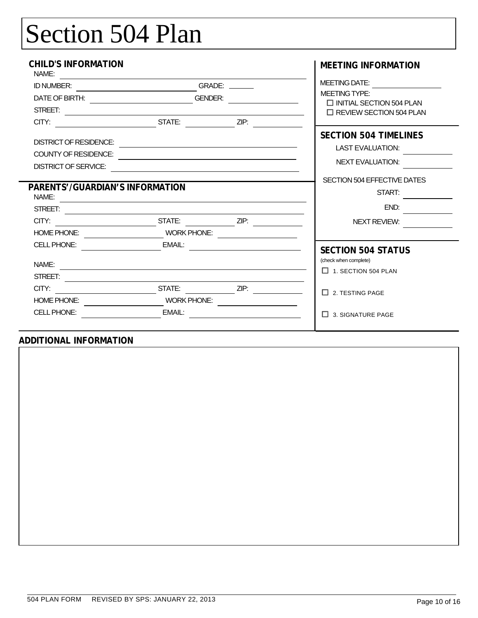| <b>CHILD'S INFORMATION</b><br>NAME:                                                         |                    |                | <b>MEETING INFORMATION</b>                                                         |
|---------------------------------------------------------------------------------------------|--------------------|----------------|------------------------------------------------------------------------------------|
| <b>ID NUMBER:</b>                                                                           |                    | <b>GRADE:</b>  | <b>MEETING DATE:</b>                                                               |
| DATE OF BIRTH:                                                                              |                    | <b>GENDER:</b> | <b>MEETING TYPE:</b>                                                               |
| STREET:                                                                                     |                    |                | $\Box$ INITIAL SECTION 504 PLAN<br>$\Box$ REVIEW SECTION 504 PLAN                  |
| CITY:                                                                                       | STATE:             | ZIP:           |                                                                                    |
| <b>DISTRICT OF RESIDENCE:</b><br><b>COUNTY OF RESIDENCE:</b><br><b>DISTRICT OF SERVICE:</b> |                    |                | <b>SECTION 504 TIMELINES</b><br><b>LAST EVALUATION:</b><br><b>NEXT EVALUATION:</b> |
| PARENTS'/GUARDIAN'S INFORMATION<br>NAME:                                                    |                    |                | SECTION 504 EFFECTIVE DATES<br>START:                                              |
| STREET:                                                                                     |                    |                | END:                                                                               |
| CITY:                                                                                       | STATE:             | ZIP:           | <b>NEXT REVIEW:</b>                                                                |
| HOME PHONE:                                                                                 | <b>WORK PHONE:</b> |                |                                                                                    |
| CELL PHONE:                                                                                 | EMAIL:             |                | <b>SECTION 504 STATUS</b>                                                          |
| NAME:                                                                                       |                    |                | (check when complete)<br>$\Box$ 1. SECTION 504 PLAN                                |
| STREET:                                                                                     |                    |                |                                                                                    |
| CITY:                                                                                       | STATE:             | ZIP:           | 2. TESTING PAGE                                                                    |
| <b>HOME PHONE:</b>                                                                          | <b>WORK PHONE:</b> |                |                                                                                    |
| CELL PHONE:                                                                                 | EMAIL:             |                | 3. SIGNATURE PAGE                                                                  |

## **ADDITIONAL INFORMATION**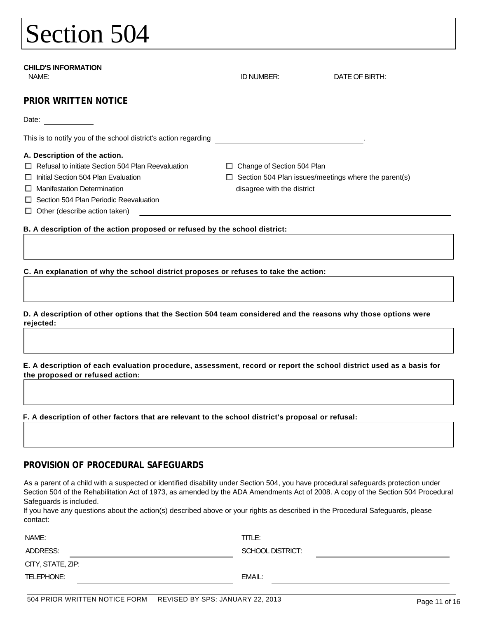| <b>Section 504</b>                                                                                                                                                                                                                                                                                  |                              |                                                             |
|-----------------------------------------------------------------------------------------------------------------------------------------------------------------------------------------------------------------------------------------------------------------------------------------------------|------------------------------|-------------------------------------------------------------|
| <b>CHILD'S INFORMATION</b><br>NAME:                                                                                                                                                                                                                                                                 | ID NUMBER:                   | DATE OF BIRTH:                                              |
| PRIOR WRITTEN NOTICE                                                                                                                                                                                                                                                                                |                              |                                                             |
| Date:                                                                                                                                                                                                                                                                                               |                              |                                                             |
| This is to notify you of the school district's action regarding                                                                                                                                                                                                                                     |                              |                                                             |
|                                                                                                                                                                                                                                                                                                     |                              |                                                             |
| A. Description of the action.<br>$\Box$ Refusal to initiate Section 504 Plan Reevaluation                                                                                                                                                                                                           | □ Change of Section 504 Plan |                                                             |
| Initial Section 504 Plan Evaluation<br>ш                                                                                                                                                                                                                                                            |                              | $\Box$ Section 504 Plan issues/meetings where the parent(s) |
| $\Box$ Manifestation Determination                                                                                                                                                                                                                                                                  | disagree with the district   |                                                             |
| $\Box$ Section 504 Plan Periodic Reevaluation                                                                                                                                                                                                                                                       |                              |                                                             |
| $\Box$ Other (describe action taken)                                                                                                                                                                                                                                                                |                              |                                                             |
| B. A description of the action proposed or refused by the school district:                                                                                                                                                                                                                          |                              |                                                             |
|                                                                                                                                                                                                                                                                                                     |                              |                                                             |
|                                                                                                                                                                                                                                                                                                     |                              |                                                             |
| C. An explanation of why the school district proposes or refuses to take the action:                                                                                                                                                                                                                |                              |                                                             |
|                                                                                                                                                                                                                                                                                                     |                              |                                                             |
|                                                                                                                                                                                                                                                                                                     |                              |                                                             |
| D. A description of other options that the Section 504 team considered and the reasons why those options were<br>rejected:                                                                                                                                                                          |                              |                                                             |
|                                                                                                                                                                                                                                                                                                     |                              |                                                             |
| E. A description of each evaluation procedure, assessment, record or report the school district used as a basis for<br>the proposed or refused action:                                                                                                                                              |                              |                                                             |
|                                                                                                                                                                                                                                                                                                     |                              |                                                             |
| F. A description of other factors that are relevant to the school district's proposal or refusal:                                                                                                                                                                                                   |                              |                                                             |
|                                                                                                                                                                                                                                                                                                     |                              |                                                             |
| PROVISION OF PROCEDURAL SAFEGUARDS                                                                                                                                                                                                                                                                  |                              |                                                             |
|                                                                                                                                                                                                                                                                                                     |                              |                                                             |
| As a parent of a child with a suspected or identified disability under Section 504, you have procedural safeguards protection under<br>Section 504 of the Rehabilitation Act of 1973, as amended by the ADA Amendments Act of 2008. A copy of the Section 504 Procedural<br>Safeguards is included. |                              |                                                             |
| If you have any questions about the action(s) described above or your rights as described in the Procedural Safeguards, please<br>contact:                                                                                                                                                          |                              |                                                             |
| NAME:                                                                                                                                                                                                                                                                                               | TITLE:                       |                                                             |
| <b>ADDRESS:</b>                                                                                                                                                                                                                                                                                     | <b>SCHOOL DISTRICT:</b>      |                                                             |
| CITY, STATE, ZIP:                                                                                                                                                                                                                                                                                   |                              |                                                             |
|                                                                                                                                                                                                                                                                                                     |                              |                                                             |

### **PROVISION OF PROCEDURAL SAFEGUARDS**

| NAME:             | TITLE:           |  |
|-------------------|------------------|--|
| ADDRESS:          | SCHOOL DISTRICT: |  |
| CITY, STATE, ZIP: |                  |  |
| TELEPHONE:        | EMAIL:           |  |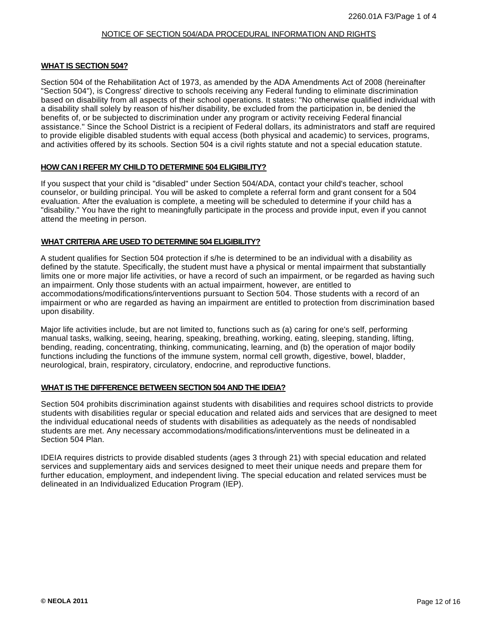### NOTICE OF SECTION 504/ADA PROCEDURAL INFORMATION AND RIGHTS

#### **WHAT IS SECTION 504?**

Section 504 of the Rehabilitation Act of 1973, as amended by the ADA Amendments Act of 2008 (hereinafter "Section 504"), is Congress' directive to schools receiving any Federal funding to eliminate discrimination based on disability from all aspects of their school operations. It states: "No otherwise qualified individual with a disability shall solely by reason of his/her disability, be excluded from the participation in, be denied the benefits of, or be subjected to discrimination under any program or activity receiving Federal financial assistance." Since the School District is a recipient of Federal dollars, its administrators and staff are required to provide eligible disabled students with equal access (both physical and academic) to services, programs, and activities offered by its schools. Section 504 is a civil rights statute and not a special education statute.

#### **HOW CAN I REFER MY CHILD TO DETERMINE 504 ELIGIBILITY?**

If you suspect that your child is "disabled" under Section 504/ADA, contact your child's teacher, school counselor, or building principal. You will be asked to complete a referral form and grant consent for a 504 evaluation. After the evaluation is complete, a meeting will be scheduled to determine if your child has a "disability." You have the right to meaningfully participate in the process and provide input, even if you cannot attend the meeting in person.

### **WHAT CRITERIA ARE USED TO DETERMINE 504 ELIGIBILITY?**

A student qualifies for Section 504 protection if s/he is determined to be an individual with a disability as defined by the statute. Specifically, the student must have a physical or mental impairment that substantially limits one or more major life activities, or have a record of such an impairment, or be regarded as having such an impairment. Only those students with an actual impairment, however, are entitled to accommodations/modifications/interventions pursuant to Section 504. Those students with a record of an impairment or who are regarded as having an impairment are entitled to protection from discrimination based upon disability.

Major life activities include, but are not limited to, functions such as (a) caring for one's self, performing manual tasks, walking, seeing, hearing, speaking, breathing, working, eating, sleeping, standing, lifting, bending, reading, concentrating, thinking, communicating, learning, and (b) the operation of major bodily functions including the functions of the immune system, normal cell growth, digestive, bowel, bladder, neurological, brain, respiratory, circulatory, endocrine, and reproductive functions.

#### **WHAT IS THE DIFFERENCE BETWEEN SECTION 504 AND THE IDEIA?**

Section 504 prohibits discrimination against students with disabilities and requires school districts to provide students with disabilities regular or special education and related aids and services that are designed to meet the individual educational needs of students with disabilities as adequately as the needs of nondisabled students are met. Any necessary accommodations/modifications/interventions must be delineated in a Section 504 Plan.

IDEIA requires districts to provide disabled students (ages 3 through 21) with special education and related services and supplementary aids and services designed to meet their unique needs and prepare them for further education, employment, and independent living. The special education and related services must be delineated in an Individualized Education Program (IEP).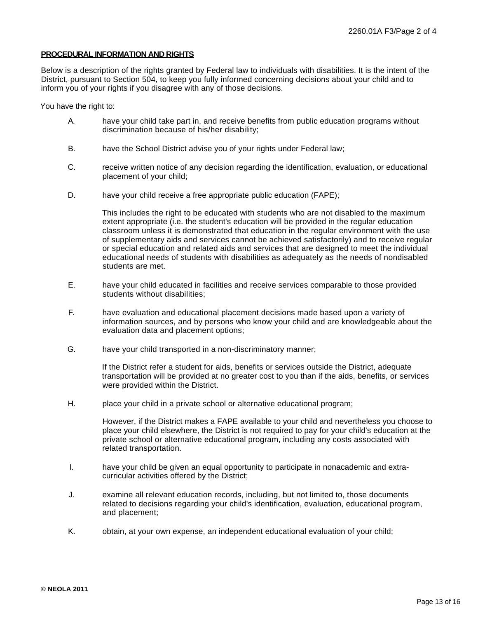#### **PROCEDURAL INFORMATION AND RIGHTS**

Below is a description of the rights granted by Federal law to individuals with disabilities. It is the intent of the District, pursuant to Section 504, to keep you fully informed concerning decisions about your child and to inform you of your rights if you disagree with any of those decisions.

You have the right to:

- A. have your child take part in, and receive benefits from public education programs without discrimination because of his/her disability;
- B. have the School District advise you of your rights under Federal law;
- C. receive written notice of any decision regarding the identification, evaluation, or educational placement of your child;
- D. have your child receive a free appropriate public education (FAPE);

This includes the right to be educated with students who are not disabled to the maximum extent appropriate (i.e. the student's education will be provided in the regular education classroom unless it is demonstrated that education in the regular environment with the use of supplementary aids and services cannot be achieved satisfactorily) and to receive regular or special education and related aids and services that are designed to meet the individual educational needs of students with disabilities as adequately as the needs of nondisabled students are met.

- E. have your child educated in facilities and receive services comparable to those provided students without disabilities;
- F. have evaluation and educational placement decisions made based upon a variety of information sources, and by persons who know your child and are knowledgeable about the evaluation data and placement options;
- G. have your child transported in a non-discriminatory manner;

If the District refer a student for aids, benefits or services outside the District, adequate transportation will be provided at no greater cost to you than if the aids, benefits, or services were provided within the District.

H. place your child in a private school or alternative educational program;

However, if the District makes a FAPE available to your child and nevertheless you choose to place your child elsewhere, the District is not required to pay for your child's education at the private school or alternative educational program, including any costs associated with related transportation.

- I. have your child be given an equal opportunity to participate in nonacademic and extracurricular activities offered by the District;
- J. examine all relevant education records, including, but not limited to, those documents related to decisions regarding your child's identification, evaluation, educational program, and placement;
- K. obtain, at your own expense, an independent educational evaluation of your child;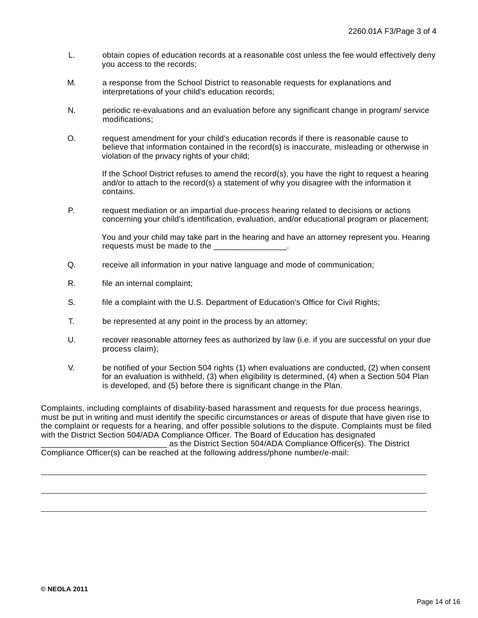- L. obtain copies of education records at a reasonable cost unless the fee would effectively deny you access to the records;
- M. a response from the School District to reasonable requests for explanations and interpretations of your child's education records;
- N. periodic re-evaluations and an evaluation before any significant change in program/ service modifications;
- O. request amendment for your child's education records if there is reasonable cause to believe that information contained in the record(s) is inaccurate, misleading or otherwise in violation of the privacy rights of your child;

If the School District refuses to amend the record(s), you have the right to request a hearing and/or to attach to the record(s) a statement of why you disagree with the information it contains.

P. request mediation or an impartial due-process hearing related to decisions or actions concerning your child's identification, evaluation, and/or educational program or placement;

You and your child may take part in the hearing and have an attorney represent you. Hearing requests must be made to the **notation**  $\blacksquare$ 

- Q. receive all information in your native language and mode of communication;
- R. file an internal complaint;
- S. file a complaint with the U.S. Department of Education's Office for Civil Rights;
- T. be represented at any point in the process by an attorney;
- U. recover reasonable attorney fees as authorized by law (i.e. if you are successful on your due process claim);
- V. be notified of your Section 504 rights (1) when evaluations are conducted, (2) when consent for an evaluation is withheld, (3) when eligibility is determined, (4) when a Section 504 Plan is developed, and (5) before there is significant change in the Plan.

Complaints, including complaints of disability-based harassment and requests for due process hearings, must be put in writing and must identify the specific circumstances or areas of dispute that have given rise to the complaint or requests for a hearing, and offer possible solutions to the dispute. Complaints must be filed with the District Section 504/ADA Compliance Officer. The Board of Education has designated

as the District Section 504/ADA Compliance Officer(s). The District Compliance Officer(s) can be reached at the following address/phone number/e-mail: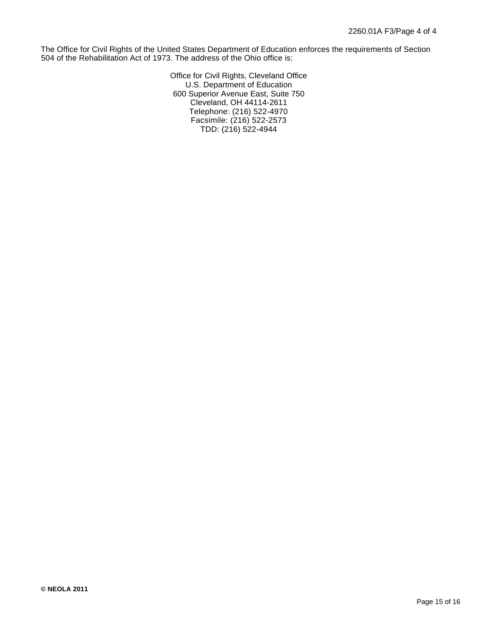The Office for Civil Rights of the United States Department of Education enforces the requirements of Section 504 of the Rehabilitation Act of 1973. The address of the Ohio office is:

> Office for Civil Rights, Cleveland Office U.S. Department of Education 600 Superior Avenue East, Suite 750 Cleveland, OH 44114-2611 Telephone: (216) 522-4970 Facsimile: (216) 522-2573 TDD: (216) 522-4944